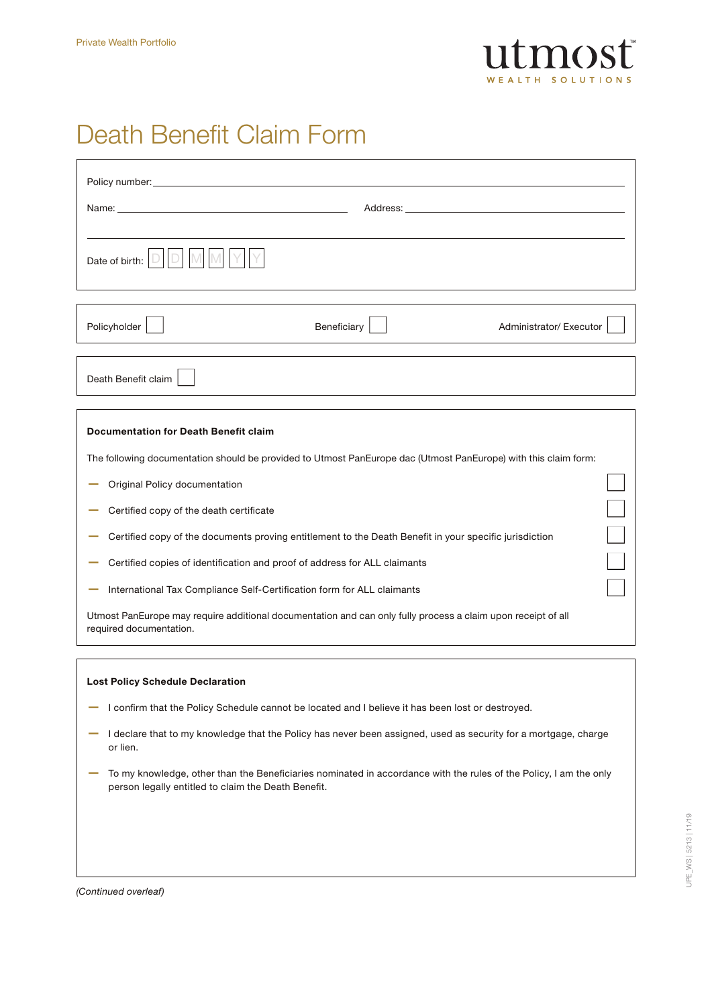

## Death Benefit Claim Form

| Date of birth:                                                                                                                          |             |                         |  |  |
|-----------------------------------------------------------------------------------------------------------------------------------------|-------------|-------------------------|--|--|
| Policyholder                                                                                                                            | Beneficiary | Administrator/ Executor |  |  |
| Death Benefit claim                                                                                                                     |             |                         |  |  |
|                                                                                                                                         |             |                         |  |  |
| <b>Documentation for Death Benefit claim</b>                                                                                            |             |                         |  |  |
| The following documentation should be provided to Utmost PanEurope dac (Utmost PanEurope) with this claim form:                         |             |                         |  |  |
| Original Policy documentation                                                                                                           |             |                         |  |  |
| Certified copy of the death certificate                                                                                                 |             |                         |  |  |
| Certified copy of the documents proving entitlement to the Death Benefit in your specific jurisdiction                                  |             |                         |  |  |
| Certified copies of identification and proof of address for ALL claimants                                                               |             |                         |  |  |
| International Tax Compliance Self-Certification form for ALL claimants                                                                  |             |                         |  |  |
| Utmost PanEurope may require additional documentation and can only fully process a claim upon receipt of all<br>required documentation. |             |                         |  |  |

### Lost Policy Schedule Declaration

- I confirm that the Policy Schedule cannot be located and I believe it has been lost or destroyed.
- I declare that to my knowledge that the Policy has never been assigned, used as security for a mortgage, charge or lien.
- To my knowledge, other than the Beneficiaries nominated in accordance with the rules of the Policy, I am the only person legally entitled to claim the Death Benefit.

*(Continued overleaf)*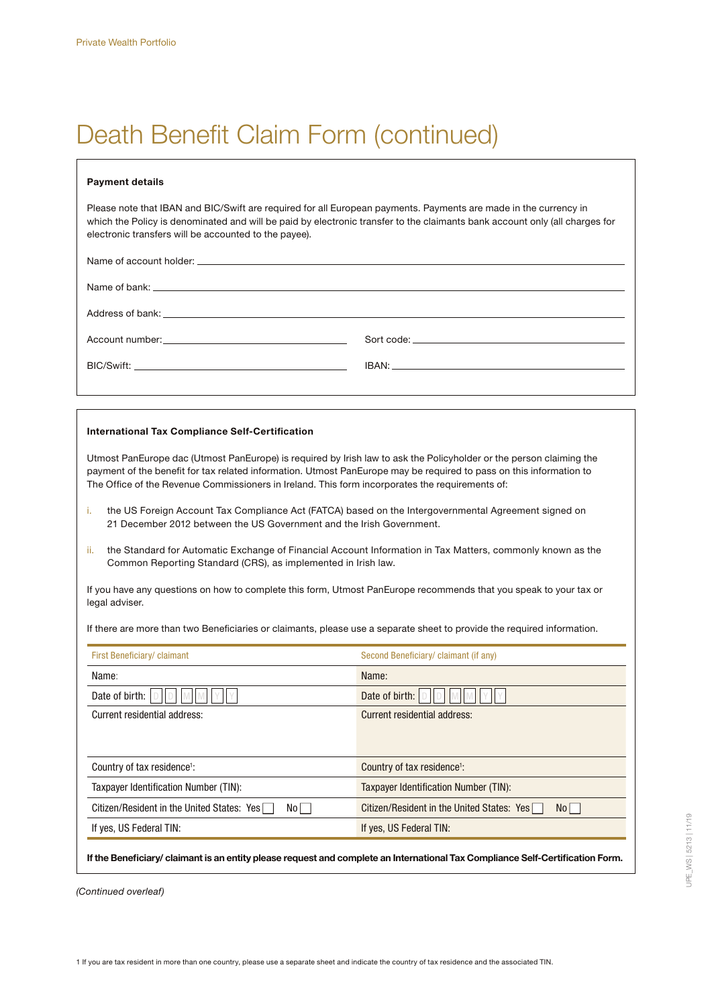# Death Benefit Claim Form (continued)

#### Payment details

Please note that IBAN and BIC/Swift are required for all European payments. Payments are made in the currency in which the Policy is denominated and will be paid by electronic transfer to the claimants bank account only (all charges for electronic transfers will be accounted to the payee).

Name of account holder: \_\_\_\_\_\_\_\_\_\_\_\_\_

Name of bank:

Address of bank:

Account number: Notified a state of the south of the Sort code: Note: Note: Note: Note: Note: Note: Note: Note: Note: Note: Note: Note: Note: Note: Note: Note: Note: Note: Note: Note: Note: Note: Note: Note: Note: Note: No

BIC/Swift: IBAN:

#### International Tax Compliance Self-Certification

Utmost PanEurope dac (Utmost PanEurope) is required by Irish law to ask the Policyholder or the person claiming the payment of the benefit for tax related information. Utmost PanEurope may be required to pass on this information to The Office of the Revenue Commissioners in Ireland. This form incorporates the requirements of:

- i. the US Foreign Account Tax Compliance Act (FATCA) based on the Intergovernmental Agreement signed on 21 December 2012 between the US Government and the Irish Government.
- ii. the Standard for Automatic Exchange of Financial Account Information in Tax Matters, commonly known as the Common Reporting Standard (CRS), as implemented in Irish law.

If you have any questions on how to complete this form, Utmost PanEurope recommends that you speak to your tax or legal adviser.

If there are more than two Beneficiaries or claimants, please use a separate sheet to provide the required information.

| First Beneficiary/ claimant                        | Second Beneficiary/claimant (if any)               |  |
|----------------------------------------------------|----------------------------------------------------|--|
| Name:                                              | Name:                                              |  |
| Date of birth:                                     | Date of birth:                                     |  |
| Current residential address:                       | Current residential address:                       |  |
|                                                    |                                                    |  |
|                                                    |                                                    |  |
| Country of tax residence <sup>1</sup> :            | Country of tax residence <sup>1</sup> :            |  |
| Taxpayer Identification Number (TIN):              | Taxpayer Identification Number (TIN):              |  |
| Citizen/Resident in the United States: Yes<br>No I | Citizen/Resident in the United States: Yes<br>No l |  |
| If yes, US Federal TIN:                            | If yes, US Federal TIN:                            |  |
|                                                    |                                                    |  |

If the Beneficiary/ claimant is an entity please request and complete an International Tax Compliance Self-Certification Form.

*(Continued overleaf)*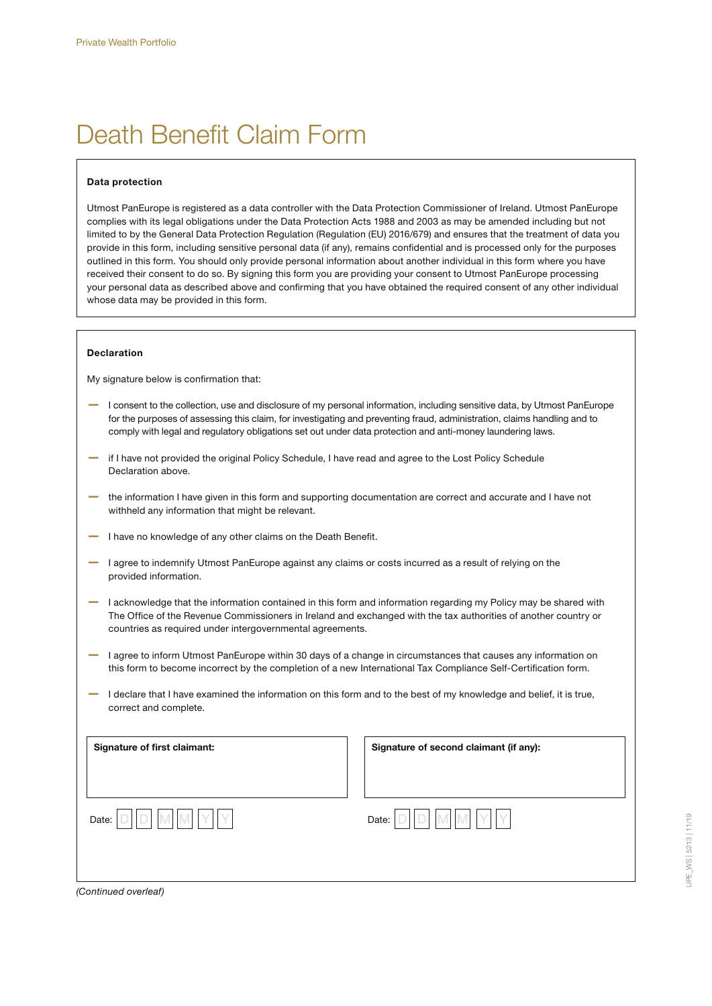## Death Benefit Claim Form

#### Data protection

Utmost PanEurope is registered as a data controller with the Data Protection Commissioner of Ireland. Utmost PanEurope complies with its legal obligations under the Data Protection Acts 1988 and 2003 as may be amended including but not limited to by the General Data Protection Regulation (Regulation (EU) 2016/679) and ensures that the treatment of data you provide in this form, including sensitive personal data (if any), remains confidential and is processed only for the purposes outlined in this form. You should only provide personal information about another individual in this form where you have received their consent to do so. By signing this form you are providing your consent to Utmost PanEurope processing your personal data as described above and confirming that you have obtained the required consent of any other individual whose data may be provided in this form.

#### Declaration

My signature below is confirmation that:

- I consent to the collection, use and disclosure of my personal information, including sensitive data, by Utmost PanEurope for the purposes of assessing this claim, for investigating and preventing fraud, administration, claims handling and to comply with legal and regulatory obligations set out under data protection and anti-money laundering laws.
- if I have not provided the original Policy Schedule, I have read and agree to the Lost Policy Schedule Declaration above.
- the information I have given in this form and supporting documentation are correct and accurate and I have not withheld any information that might be relevant.
- I have no knowledge of any other claims on the Death Benefit.
- I agree to indemnify Utmost PanEurope against any claims or costs incurred as a result of relying on the provided information.
- I acknowledge that the information contained in this form and information regarding my Policy may be shared with The Office of the Revenue Commissioners in Ireland and exchanged with the tax authorities of another country or countries as required under intergovernmental agreements.
- I agree to inform Utmost PanEurope within 30 days of a change in circumstances that causes any information on this form to become incorrect by the completion of a new International Tax Compliance Self-Certification form.
- I declare that I have examined the information on this form and to the best of my knowledge and belief, it is true, correct and complete.



*(Continued overleaf)*